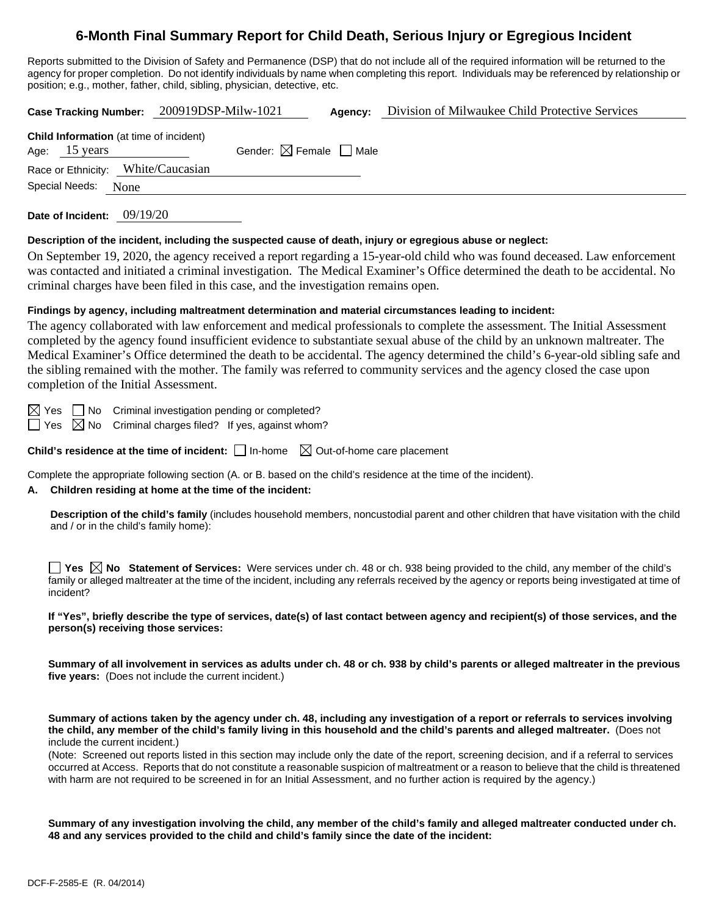# **6-Month Final Summary Report for Child Death, Serious Injury or Egregious Incident**

Reports submitted to the Division of Safety and Permanence (DSP) that do not include all of the required information will be returned to the agency for proper completion. Do not identify individuals by name when completing this report. Individuals may be referenced by relationship or position; e.g., mother, father, child, sibling, physician, detective, etc.

**Case Tracking Number:** 200919DSP-Milw-1021 **Agency:** Division of Milwaukee Child Protective Services **Child Information** (at time of incident) Age:  $15 \text{ years}$  Gender:  $\boxtimes$  Female  $\Box$  Male Race or Ethnicity: White/Caucasian Special Needs: None

**Date of Incident:** 09/19/20

#### **Description of the incident, including the suspected cause of death, injury or egregious abuse or neglect:**

On September 19, 2020, the agency received a report regarding a 15-year-old child who was found deceased. Law enforcement was contacted and initiated a criminal investigation. The Medical Examiner's Office determined the death to be accidental. No criminal charges have been filed in this case, and the investigation remains open.

#### **Findings by agency, including maltreatment determination and material circumstances leading to incident:**

The agency collaborated with law enforcement and medical professionals to complete the assessment. The Initial Assessment completed by the agency found insufficient evidence to substantiate sexual abuse of the child by an unknown maltreater. The Medical Examiner's Office determined the death to be accidental. The agency determined the child's 6-year-old sibling safe and the sibling remained with the mother. The family was referred to community services and the agency closed the case upon completion of the Initial Assessment.

 $\boxtimes$  Yes  $\Box$  No Criminal investigation pending or completed?

 $\Box$  Yes  $\boxtimes$  No Criminal charges filed? If yes, against whom?

**Child's residence at the time of incident:**  $\Box$  In-home  $\Box$  Out-of-home care placement

Complete the appropriate following section (A. or B. based on the child's residence at the time of the incident).

## **A. Children residing at home at the time of the incident:**

**Description of the child's family** (includes household members, noncustodial parent and other children that have visitation with the child and / or in the child's family home):

**Yes No Statement of Services:** Were services under ch. 48 or ch. 938 being provided to the child, any member of the child's family or alleged maltreater at the time of the incident, including any referrals received by the agency or reports being investigated at time of incident?

#### **If "Yes", briefly describe the type of services, date(s) of last contact between agency and recipient(s) of those services, and the person(s) receiving those services:**

**Summary of all involvement in services as adults under ch. 48 or ch. 938 by child's parents or alleged maltreater in the previous five years:** (Does not include the current incident.)

**Summary of actions taken by the agency under ch. 48, including any investigation of a report or referrals to services involving the child, any member of the child's family living in this household and the child's parents and alleged maltreater.** (Does not include the current incident.)

(Note: Screened out reports listed in this section may include only the date of the report, screening decision, and if a referral to services occurred at Access. Reports that do not constitute a reasonable suspicion of maltreatment or a reason to believe that the child is threatened with harm are not required to be screened in for an Initial Assessment, and no further action is required by the agency.)

**Summary of any investigation involving the child, any member of the child's family and alleged maltreater conducted under ch. 48 and any services provided to the child and child's family since the date of the incident:**